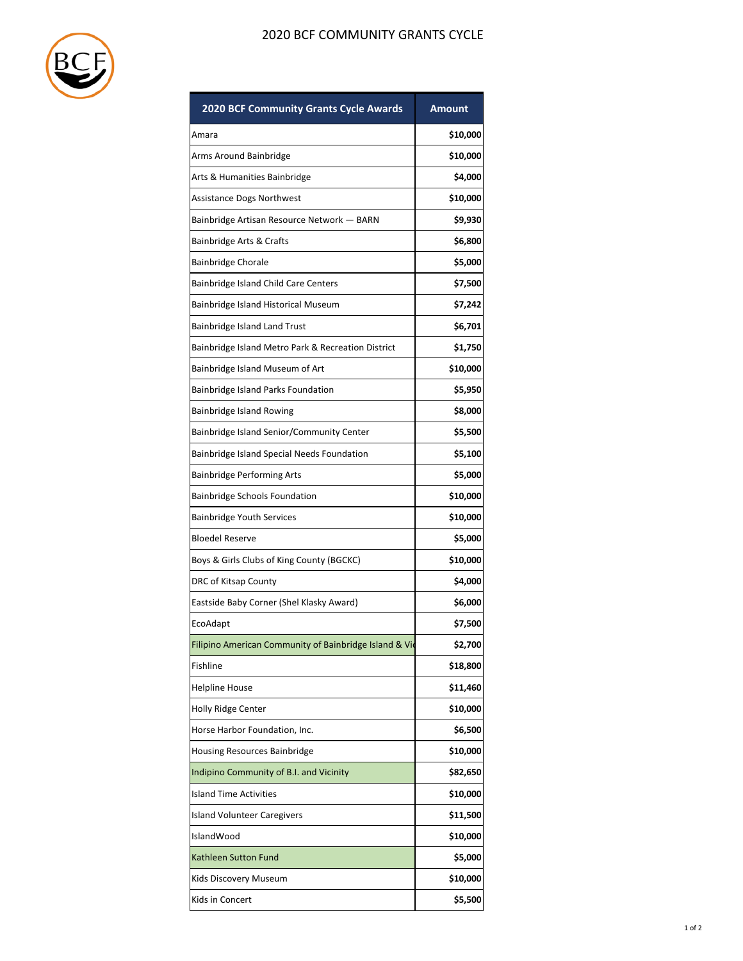

## 2020 BCF COMMUNITY GRANTS CYCLE

| <b>2020 BCF Community Grants Cycle Awards</b>          | Amount   |
|--------------------------------------------------------|----------|
| Amara                                                  | \$10,000 |
| Arms Around Bainbridge                                 | \$10,000 |
| Arts & Humanities Bainbridge                           | \$4,000  |
| Assistance Dogs Northwest                              | \$10,000 |
| Bainbridge Artisan Resource Network - BARN             | \$9,930  |
| Bainbridge Arts & Crafts                               | \$6,800  |
| Bainbridge Chorale                                     | \$5,000  |
| Bainbridge Island Child Care Centers                   | \$7,500  |
| Bainbridge Island Historical Museum                    | \$7,242  |
| Bainbridge Island Land Trust                           | \$6,701  |
| Bainbridge Island Metro Park & Recreation District     | \$1,750  |
| Bainbridge Island Museum of Art                        | \$10,000 |
| Bainbridge Island Parks Foundation                     | \$5,950  |
| Bainbridge Island Rowing                               | \$8,000  |
| Bainbridge Island Senior/Community Center              | \$5,500  |
| Bainbridge Island Special Needs Foundation             | \$5,100  |
| <b>Bainbridge Performing Arts</b>                      | \$5,000  |
| <b>Bainbridge Schools Foundation</b>                   | \$10,000 |
| <b>Bainbridge Youth Services</b>                       | \$10,000 |
| <b>Bloedel Reserve</b>                                 | \$5,000  |
| Boys & Girls Clubs of King County (BGCKC)              | \$10,000 |
| DRC of Kitsap County                                   | \$4,000  |
| Eastside Baby Corner (Shel Klasky Award)               | \$6,000  |
| EcoAdapt                                               | \$7,500  |
| Filipino American Community of Bainbridge Island & Vid | \$2,700  |
| Fishline                                               | \$18,800 |
| Helpline House                                         | \$11,460 |
| Holly Ridge Center                                     | \$10,000 |
| Horse Harbor Foundation, Inc.                          | \$6,500  |
| Housing Resources Bainbridge                           | \$10,000 |
| Indipino Community of B.I. and Vicinity                | \$82,650 |
| <b>Island Time Activities</b>                          | \$10,000 |
| <b>Island Volunteer Caregivers</b>                     | \$11,500 |
| IslandWood                                             | \$10,000 |
| Kathleen Sutton Fund                                   | \$5,000  |
| Kids Discovery Museum                                  | \$10,000 |
| Kids in Concert                                        | \$5,500  |